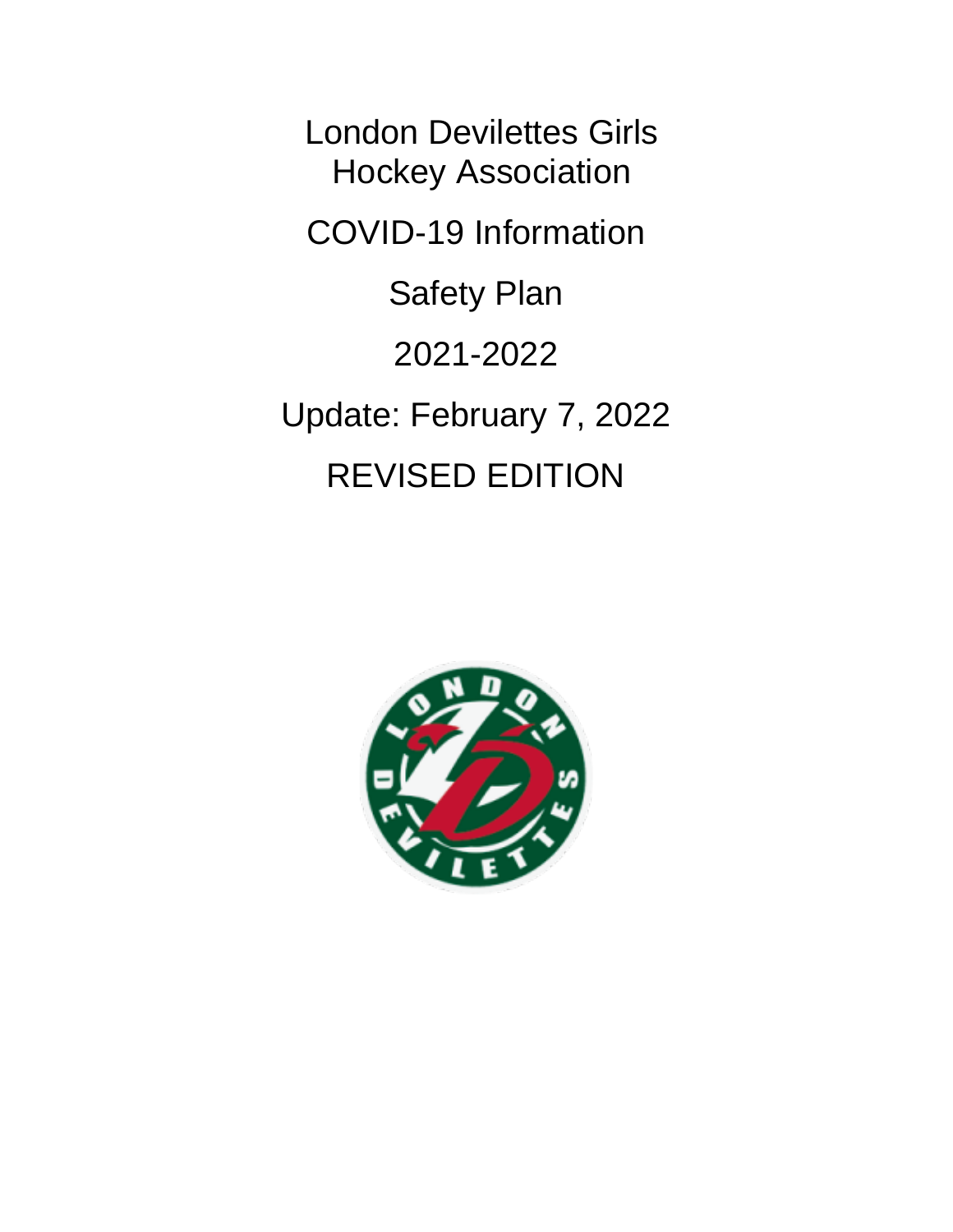London Devilettes Girls Hockey Association COVID-19 Information Safety Plan 2021-2022 Update: February 7, 2022 REVISED EDITION

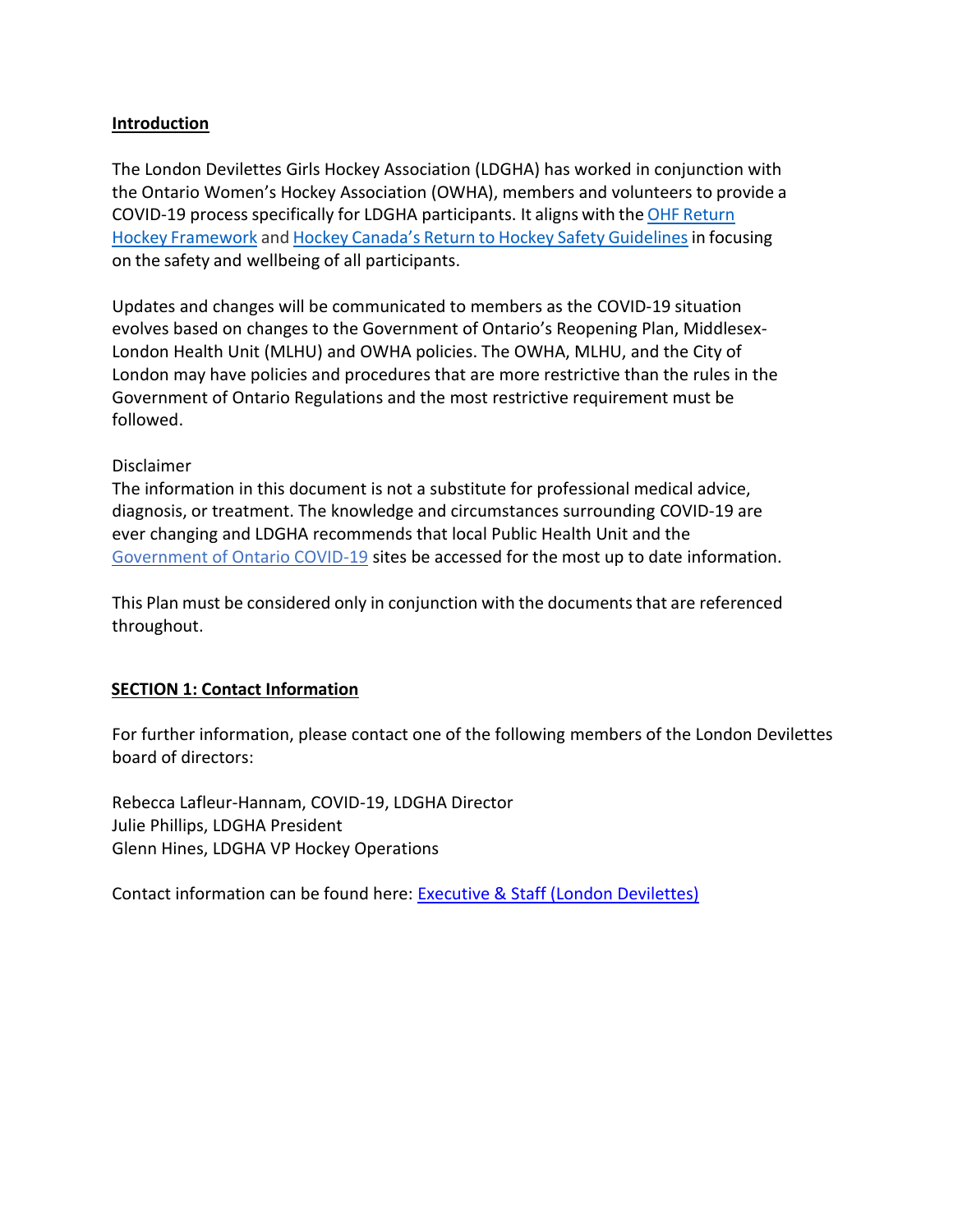## **Introduction**

The London Devilettes Girls Hockey Association (LDGHA) has worked in conjunction with the Ontario Women's Hockey Association (OWHA), members and volunteers to provide a COVID-19 process specifically for LDGHA participants. It aligns with the OHF [Return](https://www.ohf.on.ca/media/f3hoi0bb/return-to-hockey-2021-08-27.pdf) Hockey [Framework](https://www.ohf.on.ca/media/f3hoi0bb/return-to-hockey-2021-08-27.pdf) and Hockey Canada's Return to Hockey Safety [Guidelinesi](https://www.hockeycanada.ca/en-ca/exclusive/return-to-hockey/plans/safety)n focusing on the safety and wellbeing of all participants.

Updates and changes will be communicated to members as the COVID-19 situation evolves based on changes to the Government of Ontario's Reopening Plan, Middlesex-London Health Unit (MLHU) and OWHA policies. The OWHA, MLHU, and the City of London may have policies and procedures that are more restrictive than the rules in the Government of Ontario Regulations and the most restrictive requirement must be followed.

#### Disclaimer

The information in this document is not a substitute for professional medical advice, diagnosis, or treatment. The knowledge and circumstances surrounding COVID-19 are ever changing and LDGHA recommends that local Public Health Unit and the [Government of Ontario COVID-19](https://covid-19.ontario.ca/) sites be accessed for the most up to date information.

This Plan must be considered only in conjunction with the documentsthat are referenced throughout.

# **SECTION 1: Contact Information**

For further information, please contact one of the following members of the London Devilettes board of directors:

Rebecca Lafleur-Hannam, COVID-19, LDGHA Director Julie Phillips, LDGHA President Glenn Hines, LDGHA VP Hockey Operations

Contact information can be found here: [Executive & Staff \(London Devilettes\)](https://londondevilettes.ca/Staff/1010/)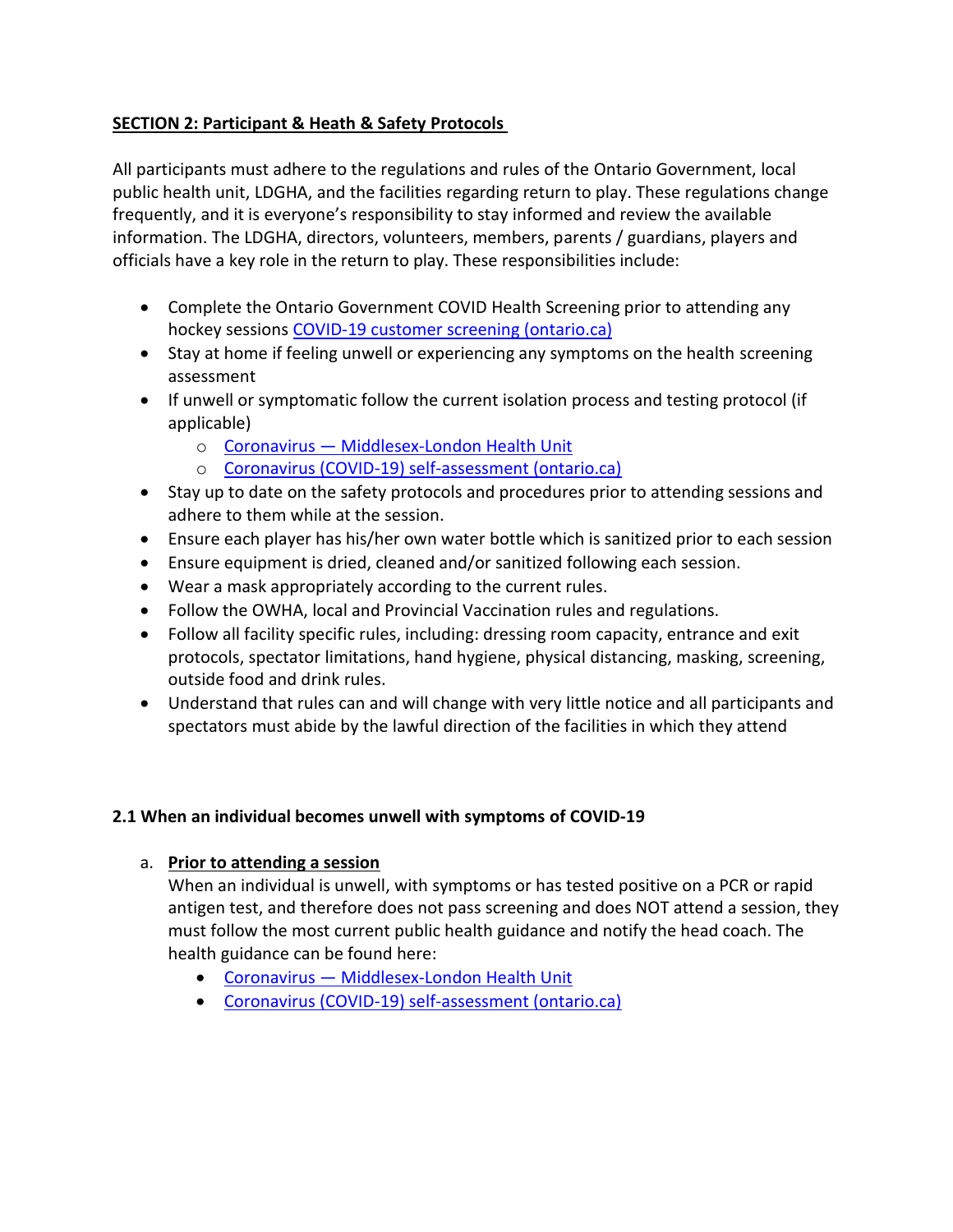# **SECTION 2: Participant & Heath & Safety Protocols**

All participants must adhere to the regulations and rules of the Ontario Government, local public health unit, LDGHA, and the facilities regarding return to play. These regulations change frequently, and it is everyone's responsibility to stay informed and review the available information. The LDGHA, directors, volunteers, members, parents / guardians, players and officials have a key role in the return to play. These responsibilities include:

- Complete the Ontario Government COVID Health Screening prior to attending any hockey sessions COVID-19 [customer screening \(ontario.ca\)](https://covid-19.ontario.ca/screening/customer/)
- Stay at home if feeling unwell or experiencing any symptoms on the health screening assessment
- If unwell or symptomatic follow the current isolation process and testing protocol (if applicable)
	- o Coronavirus [Middlesex-London Health Unit](https://www.healthunit.com/novel-coronavirus)
	- o [Coronavirus \(COVID-19\) self-assessment \(ontario.ca\)](https://covid-19.ontario.ca/self-assessment/)
- Stay up to date on the safety protocols and procedures prior to attending sessions and adhere to them while at the session.
- Ensure each player has his/her own water bottle which is sanitized prior to each session
- Ensure equipment is dried, cleaned and/or sanitized following each session.
- Wear a mask appropriately according to the current rules.
- Follow the OWHA, local and Provincial Vaccination rules and regulations.
- Follow all facility specific rules, including: dressing room capacity, entrance and exit protocols, spectator limitations, hand hygiene, physical distancing, masking, screening, outside food and drink rules.
- Understand that rules can and will change with very little notice and all participants and spectators must abide by the lawful direction of the facilities in which they attend

# **2.1 When an individual becomes unwell with symptoms of COVID-19**

# a. **Prior to attending a session**

When an individual is unwell, with symptoms or has tested positive on a PCR or rapid antigen test, and therefore does not pass screening and does NOT attend a session, they must follow the most current public health guidance and notify the head coach. The health guidance can be found here:

- Coronavirus [Middlesex-London Health Unit](https://www.healthunit.com/novel-coronavirus)
- [Coronavirus \(COVID-19\) self-assessment \(ontario.ca\)](https://covid-19.ontario.ca/self-assessment/)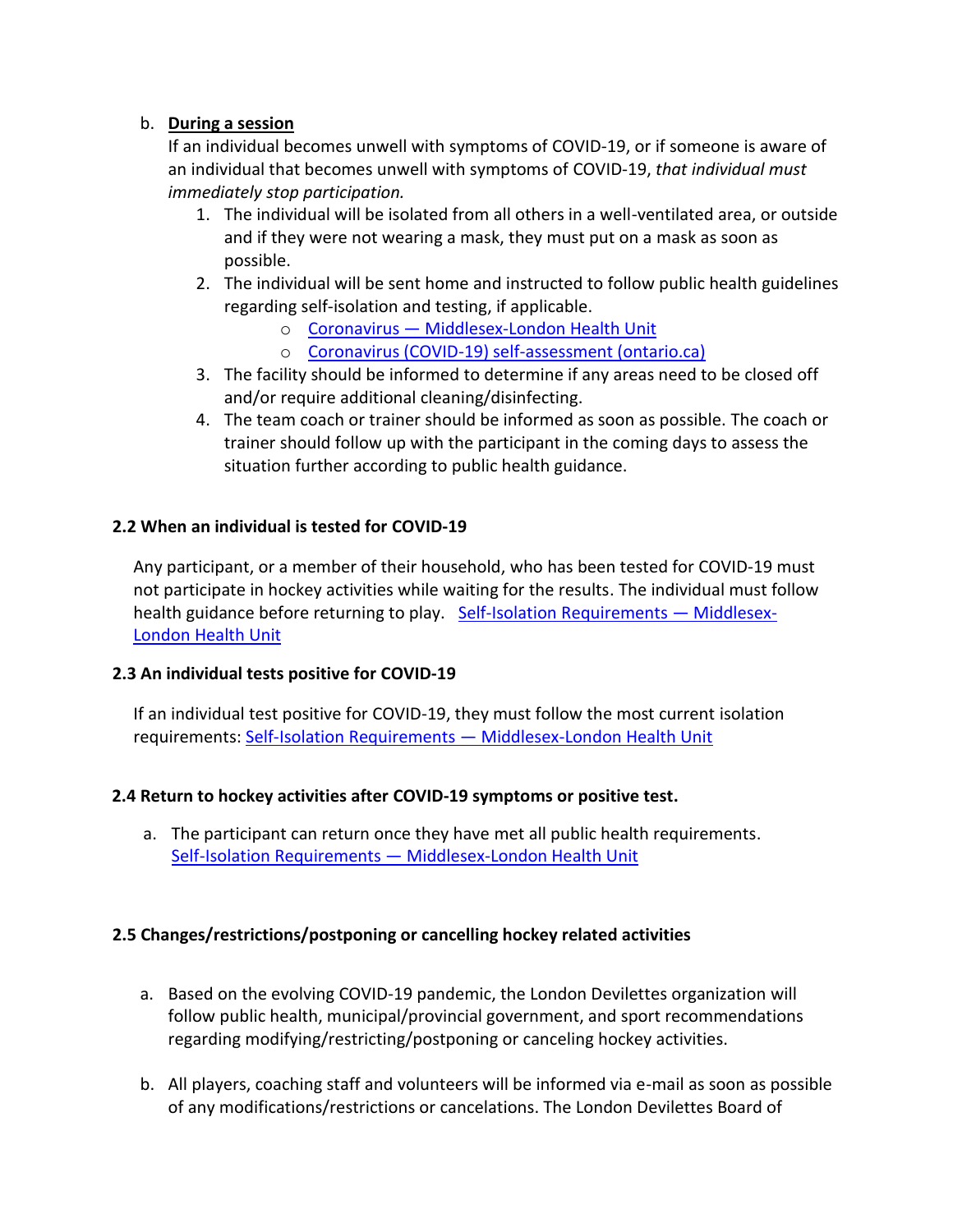## b. **During a session**

If an individual becomes unwell with symptoms of COVID-19, or if someone is aware of an individual that becomes unwell with symptoms of COVID-19, *that individual must immediately stop participation.*

- 1. The individual will be isolated from all others in a well-ventilated area, or outside and if they were not wearing a mask, they must put on a mask as soon as possible.
- 2. The individual will be sent home and instructed to follow public health guidelines regarding self-isolation and testing, if applicable.
	- o Coronavirus [Middlesex-London Health Unit](https://www.healthunit.com/novel-coronavirus)
	- o [Coronavirus \(COVID-19\) self-assessment \(ontario.ca\)](https://covid-19.ontario.ca/self-assessment/)
- 3. The facility should be informed to determine if any areas need to be closed off and/or require additional cleaning/disinfecting.
- 4. The team coach or trainer should be informed as soon as possible. The coach or trainer should follow up with the participant in the coming days to assess the situation further according to public health guidance.

## **2.2 When an individual is tested for COVID-19**

Any participant, or a member of their household, who has been tested for COVID-19 must not participate in hockey activities while waiting for the results. The individual must follow health guidance before returning to play. [Self-Isolation Requirements](https://www.healthunit.com/self-isolation) - Middlesex-[London Health Unit](https://www.healthunit.com/self-isolation)

#### **2.3 An individual tests positive for COVID-19**

If an individual test positive for COVID-19, they must follow the most current isolation requirements: Self-Isolation Requirements — [Middlesex-London Health Unit](https://www.healthunit.com/self-isolation)

#### **2.4 Return to hockey activities after COVID-19 symptoms or positive test.**

a. The participant can return once they have met all public health requirements. Self-Isolation Requirements — [Middlesex-London Health Unit](https://www.healthunit.com/self-isolation)

#### **2.5 Changes/restrictions/postponing or cancelling hockey related activities**

- a. Based on the evolving COVID-19 pandemic, the London Devilettes organization will follow public health, municipal/provincial government, and sport recommendations regarding modifying/restricting/postponing or canceling hockey activities.
- b. All players, coaching staff and volunteers will be informed via e-mail as soon as possible of any modifications/restrictions or cancelations. The London Devilettes Board of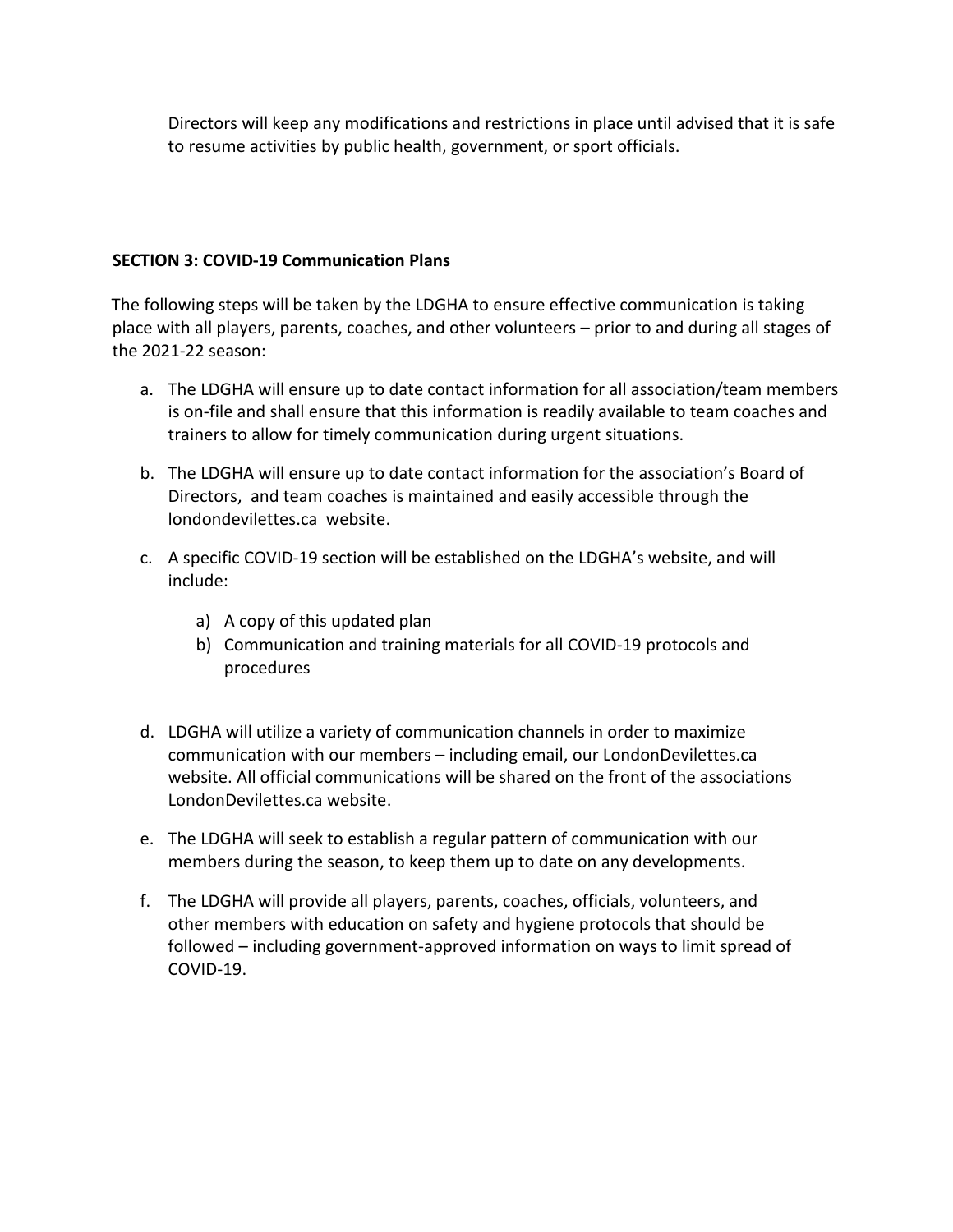Directors will keep any modifications and restrictions in place until advised that it is safe to resume activities by public health, government, or sport officials.

# **SECTION 3: COVID-19 Communication Plans**

The following steps will be taken by the LDGHA to ensure effective communication is taking place with all players, parents, coaches, and other volunteers – prior to and during all stages of the 2021-22 season:

- a. The LDGHA will ensure up to date contact information for all association/team members is on-file and shall ensure that this information is readily available to team coaches and trainers to allow for timely communication during urgent situations.
- b. The LDGHA will ensure up to date contact information for the association's Board of Directors, and team coaches is maintained and easily accessible through the londondevilettes.ca website.
- c. A specific COVID-19 section will be established on the LDGHA's website, and will include:
	- a) A copy of this updated plan
	- b) Communication and training materials for all COVID-19 protocols and procedures
- d. LDGHA will utilize a variety of communication channels in order to maximize communication with our members – including email, our LondonDevilettes.ca website. All official communications will be shared on the front of the associations LondonDevilettes.ca website.
- e. The LDGHA will seek to establish a regular pattern of communication with our members during the season, to keep them up to date on any developments.
- f. The LDGHA will provide all players, parents, coaches, officials, volunteers, and other members with education on safety and hygiene protocols that should be followed – including government-approved information on ways to limit spread of COVID-19.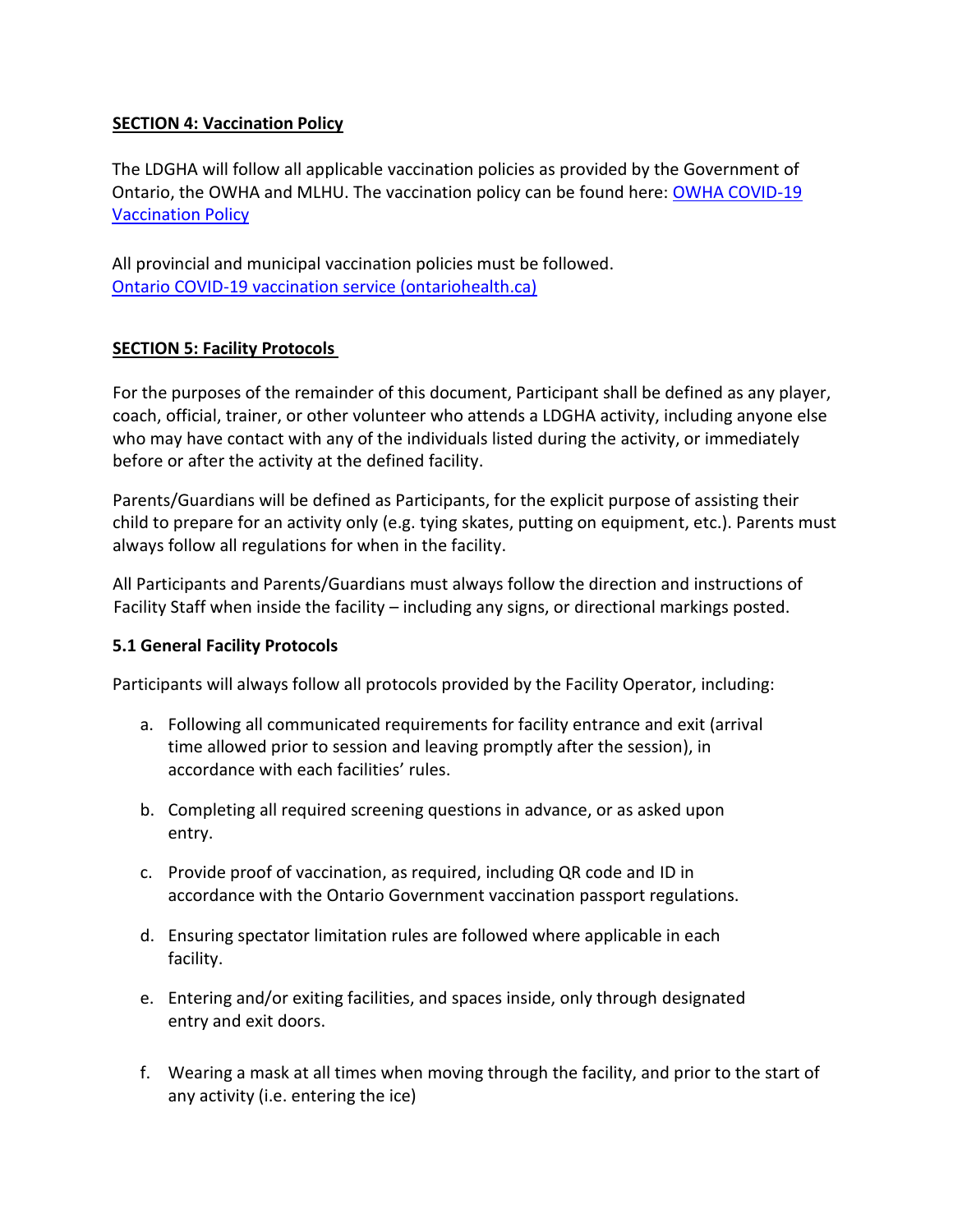## **SECTION 4: Vaccination Policy**

The LDGHA will follow all applicable vaccination policies as provided by the Government of Ontario, the OWHA and MLHU. The vaccination policy can be found here: [OWHA COVID-19](https://cloud.rampinteractive.com/whaontario/files/Bulletins/FINAL%20-%20OWHA%20Vaccination%20Policy%20V5.pdf)  [Vaccination Policy](https://cloud.rampinteractive.com/whaontario/files/Bulletins/FINAL%20-%20OWHA%20Vaccination%20Policy%20V5.pdf)

All provincial and municipal vaccination policies must be followed. [Ontario COVID-19 vaccination service \(ontariohealth.ca\)](https://covid19.ontariohealth.ca/)

## **SECTION 5: Facility Protocols**

For the purposes of the remainder of this document, Participant shall be defined as any player, coach, official, trainer, or other volunteer who attends a LDGHA activity, including anyone else who may have contact with any of the individuals listed during the activity, or immediately before or after the activity at the defined facility.

Parents/Guardians will be defined as Participants, for the explicit purpose of assisting their child to prepare for an activity only (e.g. tying skates, putting on equipment, etc.). Parents must always follow all regulations for when in the facility.

All Participants and Parents/Guardians must always follow the direction and instructions of Facility Staff when inside the facility – including any signs, or directional markings posted.

# **5.1 General Facility Protocols**

Participants will always follow all protocols provided by the Facility Operator, including:

- a. Following all communicated requirements for facility entrance and exit (arrival time allowed prior to session and leaving promptly after the session), in accordance with each facilities' rules.
- b. Completing all required screening questions in advance, or as asked upon entry.
- c. Provide proof of vaccination, as required, including QR code and ID in accordance with the Ontario Government vaccination passport regulations.
- d. Ensuring spectator limitation rules are followed where applicable in each facility.
- e. Entering and/or exiting facilities, and spaces inside, only through designated entry and exit doors.
- f. Wearing a mask at all times when moving through the facility, and prior to the start of any activity (i.e. entering the ice)